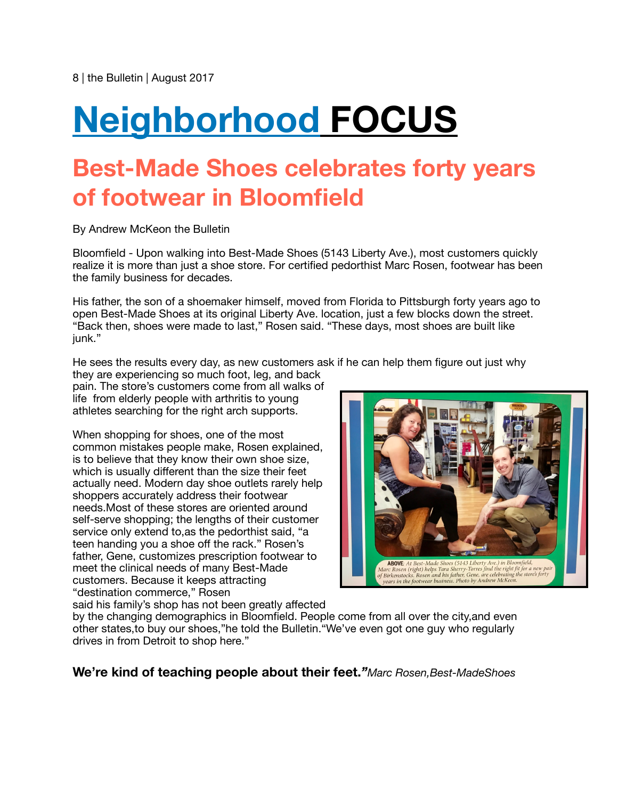## **Neighborhood FOCUS**

## **Best-Made Shoes celebrates forty years of footwear in Bloomfield**

By Andrew McKeon the Bulletin

Bloomfield - Upon walking into Best-Made Shoes (5143 Liberty Ave.), most customers quickly realize it is more than just a shoe store. For certified pedorthist Marc Rosen, footwear has been the family business for decades.

His father, the son of a shoemaker himself, moved from Florida to Pittsburgh forty years ago to open Best-Made Shoes at its original Liberty Ave. location, just a few blocks down the street. "Back then, shoes were made to last," Rosen said. "These days, most shoes are built like iunk."

He sees the results every day, as new customers ask if he can help them figure out just why

they are experiencing so much foot, leg, and back pain. The store's customers come from all walks of life from elderly people with arthritis to young athletes searching for the right arch supports.

When shopping for shoes, one of the most common mistakes people make, Rosen explained, is to believe that they know their own shoe size, which is usually different than the size their feet actually need. Modern day shoe outlets rarely help shoppers accurately address their footwear needs.Most of these stores are oriented around self-serve shopping; the lengths of their customer service only extend to,as the pedorthist said, "a teen handing you a shoe off the rack." Rosen's father, Gene, customizes prescription footwear to meet the clinical needs of many Best-Made customers. Because it keeps attracting "destination commerce," Rosen said his family's shop has not been greatly affected



by the changing demographics in Bloomfield. People come from all over the city,and even other states,to buy our shoes,"he told the Bulletin."We've even got one guy who regularly drives in from Detroit to shop here."

**We're kind of teaching people about their feet.***"Marc Rosen,Best-MadeShoes*